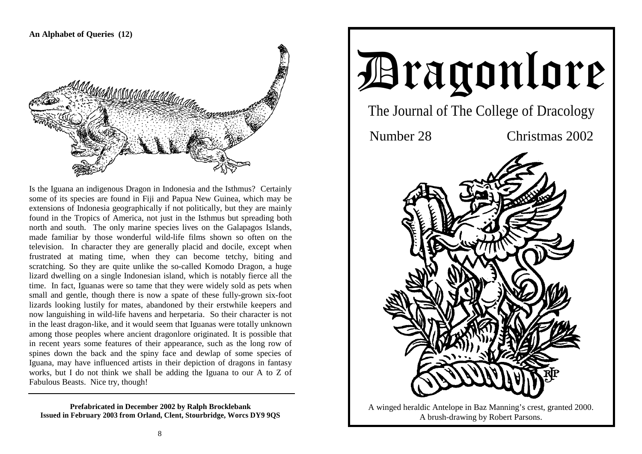# **An Alphabet of Queries (12)**



Is the Iguana an indigenous Dragon in Indonesia and the Isthmus? Certainly some of its species are found in Fiji and Papua New Guinea, which may be extensions of Indonesia geographically if not politically, but they are mainly found in the Tropics of America, not just in the Isthmus but spreading both north and south. The only marine species lives on the Galapagos Islands, made familiar by those wonderful wild-life films shown so often on the television. In character they are generally placid and docile, except when frustrated at mating time, when they can become tetchy, biting and scratching. So they are quite unlike the so-called Komodo Dragon, a huge lizard dwelling on a single Indonesian island, which is notably fierce all the time. In fact, Iguanas were so tame that they were widely sold as pets when small and gentle, though there is now a spate of these fully-grown six-foot lizards looking lustily for mates, abandoned by their erstwhile keepers and now languishing in wild-life havens and herpetaria. So their character is not in the least dragon-like, and it would seem that Iguanas were totally unknown among those peoples where ancient dragonlore originated. It is possible that in recent years some features of their appearance, such as the long row of spines down the back and the spiny face and dewlap of some species of Iguana, may have influenced artists in their depiction of dragons in fantasy works, but I do not think we shall be adding the Iguana to our A to Z of Fabulous Beasts. Nice try, though!

**Prefabricated in December 2002 by Ralph Brocklebank Issued in February 2003 from Orland, Clent, Stourbridge, Worcs DY9 9QS** 



A winged heraldic Antelope in Baz Manning's crest, granted 2000. A brush-drawing by Robert Parsons.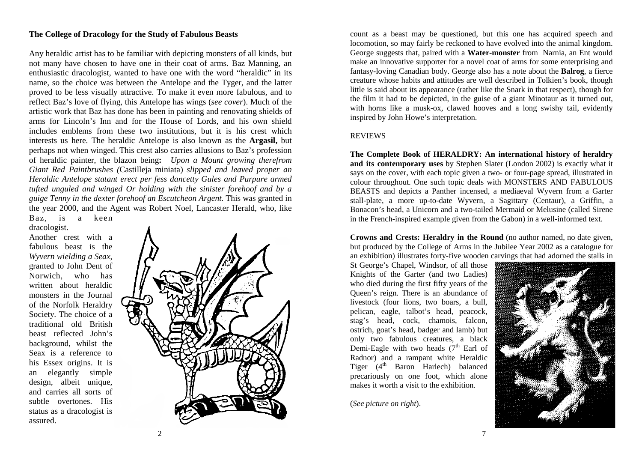# **The College of Dracology for the Study of Fabulous Beasts**

Any heraldic artist has to be familiar with depicting monsters of all kinds, but not many have chosen to have one in their coat of arms. Baz Manning, an enthusiastic dracologist, wanted to have one with the word "heraldic" in its name, so the choice was between the Antelope and the Tyger, and the latter proved to be less visually attractive. To make it even more fabulous, and to reflect Baz's love of flying, this Antelope has wings (*see cover*). Much of the artistic work that Baz has done has been in painting and renovating shields of arms for Lincoln's Inn and for the House of Lords, and his own shield includes emblems from these two institutions, but it is his crest which interests us here. The heraldic Antelope is also known as the **Argasil,** but perhaps not when winged. This crest also carries allusions to Baz's profession of heraldic painter, the blazon being**:** *Upon a Mount growing therefrom Giant Red Paintbrushes (*Castilleja miniata) *slipped and leaved proper an Heraldic Antelope statant erect per fess dancetty Gules and Purpure armed tufted unguled and winged Or holding with the sinister forehoof and by a guige Tenny in the dexter forehoof an Escutcheon Argent.* This was granted in the year 2000, and the Agent was Robert Noel, Lancaster Herald, who, like Baz, is a keen

dracologist.

Another crest with a fabulous beast is the *Wyvern wielding a Seax*, granted to John Dent of Norwich, who has written about heraldic monsters in the Journal of the Norfolk Heraldry Society. The choice of a traditional old British beast reflected John's background, whilst the Seax is a reference to his Essex origins. It is an elegantly simple design, albeit unique, and carries all sorts of subtle overtones. His status as a dracologist is assured.



count as a beast may be questioned, but this one has acquired speech and locomotion, so may fairly be reckoned to have evolved into the animal kingdom. George suggests that, paired with a **Water-monster** from Narnia, an Ent would make an innovative supporter for a novel coat of arms for some enterprising and fantasy-loving Canadian body. George also has a note about the **Balrog**, a fierce creature whose habits and attitudes are well described in Tolkien's book, though little is said about its appearance (rather like the Snark in that respect), though for the film it had to be depicted, in the guise of a giant Minotaur as it turned out, with horns like a musk-ox, clawed hooves and a long swishy tail, evidently inspired by John Howe's interpretation.

#### REVIEWS

**The Complete Book of HERALDRY: An international history of heraldry and its contemporary uses** by Stephen Slater (London 2002) is exactly what it says on the cover, with each topic given a two- or four-page spread, illustrated in colour throughout. One such topic deals with MONSTERS AND FABULOUS BEASTS and depicts a Panther incensed, a mediaeval Wyvern from a Garter stall-plate, a more up-to-date Wyvern, a Sagittary (Centaur), a Griffin, a Bonacon's head, a Unicorn and a two-tailed Mermaid or Melusine (called Sirene in the French-inspired example given from the Gabon) in a well-informed text.

**Crowns and Crests: Heraldry in the Round** (no author named, no date given, but produced by the College of Arms in the Jubilee Year 2002 as a catalogue for an exhibition) illustrates forty-five wooden carvings that had adorned the stalls in

St George's Chapel, Windsor, of all those Knights of the Garter (and two Ladies) who died during the first fifty years of the Queen's reign. There is an abundance of livestock (four lions, two boars, a bull, pelican, eagle, talbot's head, peacock, stag's head, cock, chamois, falcon, ostrich, goat's head, badger and lamb) but only two fabulous creatures, a black Demi-Eagle with two heads  $(7<sup>th</sup>$  Earl of Radnor) and a rampant white Heraldic Tiger (4<sup>th</sup> Baron Harlech) balanced precariously on one foot, which alone makes it worth a visit to the exhibition.

(*See picture on right*).

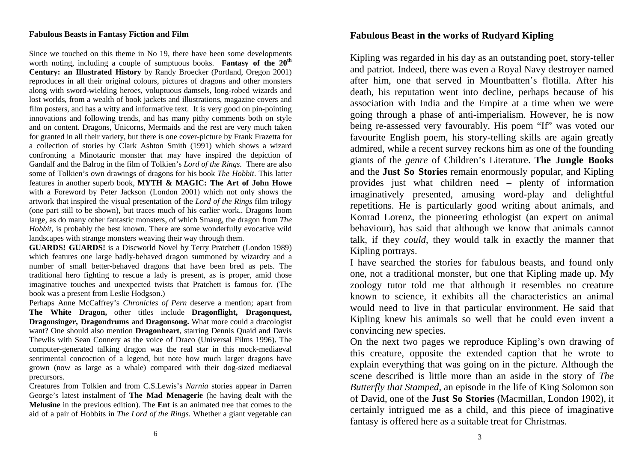# **Fabulous Beasts in Fantasy Fiction and Film**

Since we touched on this theme in No 19, there have been some developments worth noting, including a couple of sumptuous books. **Fantasy of the 20th Century: an Illustrated History** by Randy Broecker (Portland, Oregon 2001) reproduces in all their original colours, pictures of dragons and other monsters along with sword-wielding heroes, voluptuous damsels, long-robed wizards and lost worlds, from a wealth of book jackets and illustrations, magazine covers and film posters, and has a witty and informative text. It is very good on pin-pointing innovations and following trends, and has many pithy comments both on style and on content. Dragons, Unicorns, Mermaids and the rest are very much taken for granted in all their variety, but there is one cover-picture by Frank Frazetta for a collection of stories by Clark Ashton Smith (1991) which shows a wizard confronting a Minotauric monster that may have inspired the depiction of Gandalf and the Balrog in the film of Tolkien's *Lord of the Rings.* There are also some of Tolkien's own drawings of dragons for his book *The Hobbit*. This latter features in another superb book, **MYTH & MAGIC: The Art of John Howe**  with a Foreword by Peter Jackson (London 2001) which not only shows the artwork that inspired the visual presentation of the *Lord of the Rings* film trilogy (one part still to be shown), but traces much of his earlier work.. Dragons loom large, as do many other fantastic monsters, of which Smaug, the dragon from *The Hobbit*, is probably the best known. There are some wonderfully evocative wild landscapes with strange monsters weaving their way through them.

**GUARDS! GUARDS!** is a Discworld Novel by Terry Pratchett (London 1989) which features one large badly-behaved dragon summoned by wizardry and a number of small better-behaved dragons that have been bred as pets. The traditional hero fighting to rescue a lady is present, as is proper, amid those imaginative touches and unexpected twists that Pratchett is famous for. (The book was a present from Leslie Hodgson.)

Perhaps Anne McCaffrey's *Chronicles of Pern* deserve a mention; apart from **The White Dragon,** other titles include **Dragonflight, Dragonquest, Dragonsinger, Dragondrums** and **Dragonsong.** What more could a dracologist want? One should also mention **Dragonheart**, starring Dennis Quaid and Davis Thewlis with Sean Connery as the voice of Draco (Universal Films 1996). The computer-generated talking dragon was the real star in this mock-mediaeval sentimental concoction of a legend, but note how much larger dragons have grown (now as large as a whale) compared with their dog-sized mediaeval precursors.

Creatures from Tolkien and from C.S.Lewis's *Narnia* stories appear in Darren George's latest instalment of **The Mad Menagerie** (he having dealt with the **Melusine** in the previous edition). The **Ent** is an animated tree that comes to the aid of a pair of Hobbits in *The Lord of the Rings*. Whether a giant vegetable can

# **Fabulous Beast in the works of Rudyard Kipling**

Kipling was regarded in his day as an outstanding poet, story-teller and patriot. Indeed, there was even a Royal Navy destroyer named after him, one that served in Mountbatten's flotilla. After his death, his reputation went into decline, perhaps because of his association with India and the Empire at a time when we were going through a phase of anti-imperialism. However, he is now being re-assessed very favourably. His poem "If" was voted our favourite English poem, his story-telling skills are again greatly admired, while a recent survey reckons him as one of the founding giants of the *genre* of Children's Literature. **The Jungle Books** and the **Just So Stories** remain enormously popular, and Kipling provides just what children need – plenty of information imaginatively presented, amusing word-play and delightful repetitions. He is particularly good writing about animals, and Konrad Lorenz, the pioneering ethologist (an expert on animal behaviour), has said that although we know that animals cannot talk, if they *could*, they would talk in exactly the manner that Kipling portrays.

I have searched the stories for fabulous beasts, and found only one, not a traditional monster, but one that Kipling made up. My zoology tutor told me that although it resembles no creature known to science, it exhibits all the characteristics an animal would need to live in that particular environment. He said that Kipling knew his animals so well that he could even invent a convincing new species.

On the next two pages we reproduce Kipling's own drawing of this creature, opposite the extended caption that he wrote to explain everything that was going on in the picture. Although the scene described is little more than an aside in the story of *The Butterfly that Stamped,* an episode in the life of King Solomon son of David, one of the **Just So Stories** (Macmillan, London 1902), it certainly intrigued me as a child, and this piece of imaginative fantasy is offered here as a suitable treat for Christmas.